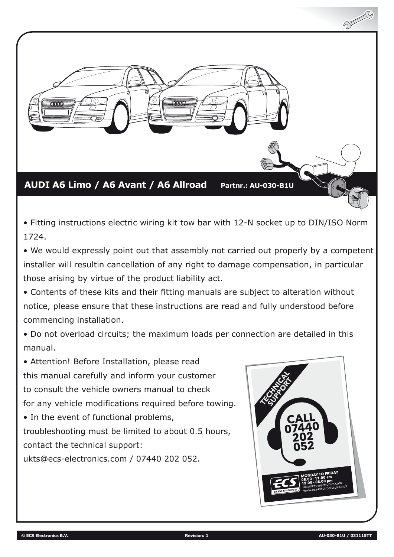

• Fitting instructions electric wiring kit tow bar with 12-N socket up to DIN/ISO Norm 1724.

• We would expressly point out that assembly not carried out properly by a competent installer will resultin cancellation of any right to damage compensation, in particular those arising by virtue of the product liability act.

• Contents of these kits and their fitting manuals are subject to alteration without notice, please ensure that these instructions are read and fully understood before commencing installation.

• Do not overload circuits; the maximum loads per connection are detailed in this manual.

• Attention! Before Installation, please read this manual carefully and inform your customer to consult the vehicle owners manual to check for any vehicle modifications required before towing.

• In the event of functional problems, troubleshooting must be limited to about 0.5 hours, contact the technical support:

ukts@ecs-electronics.com / 07440 202 052.

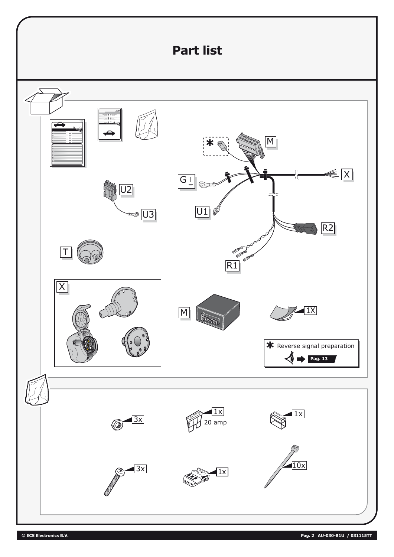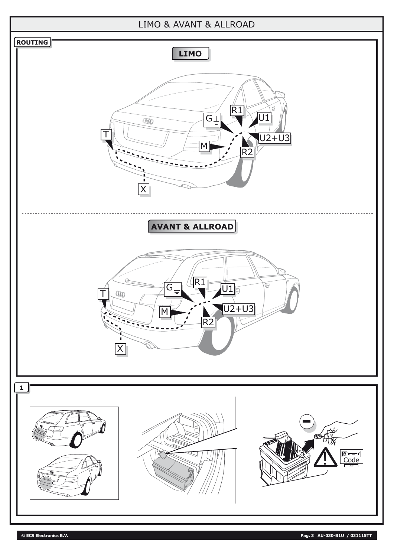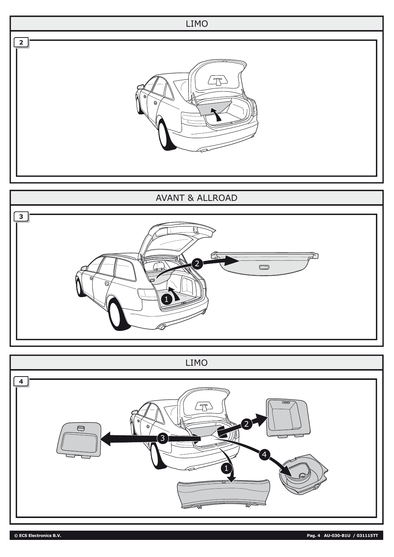

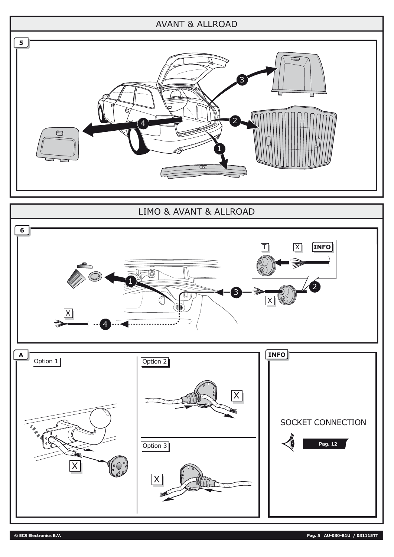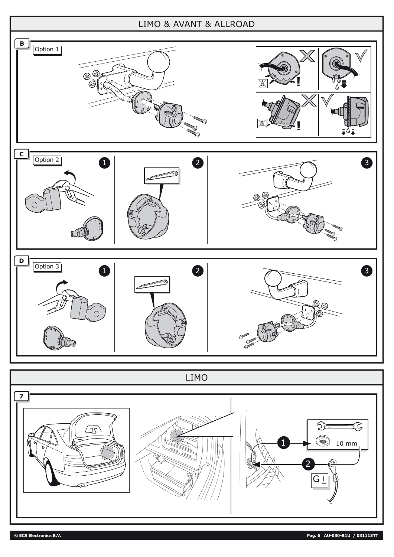## LIMO & AVANT & ALLROAD



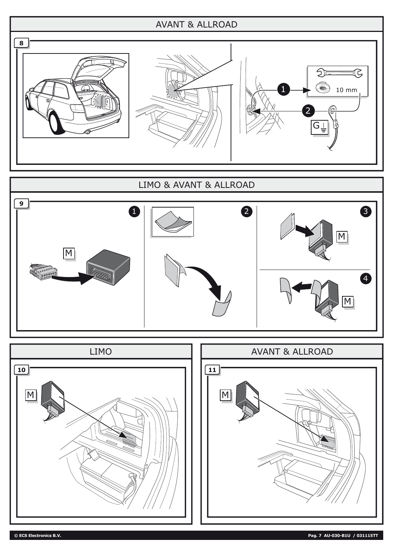

## LIMO & AVANT & ALLROAD



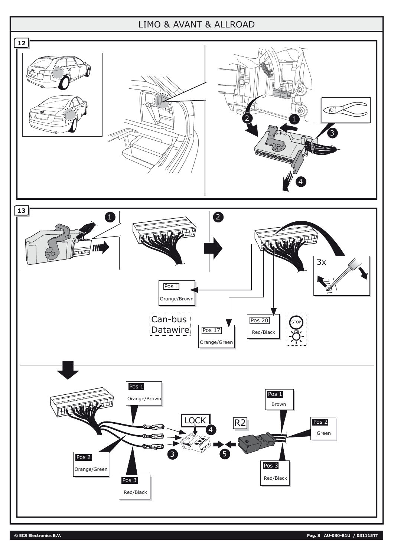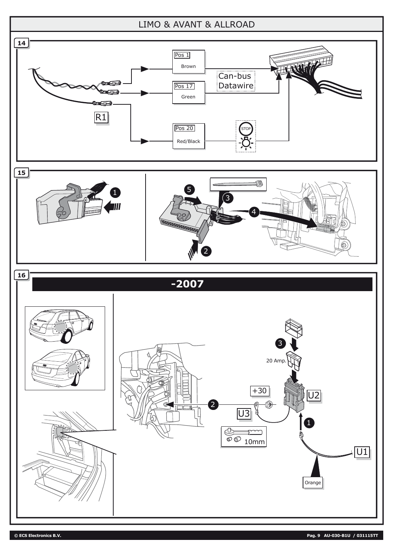

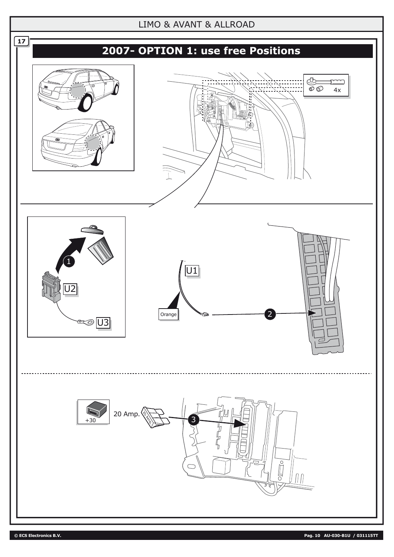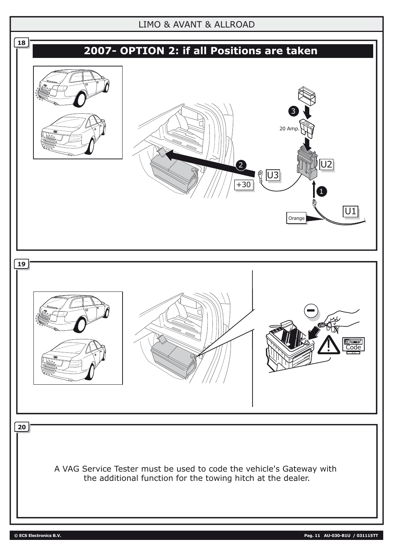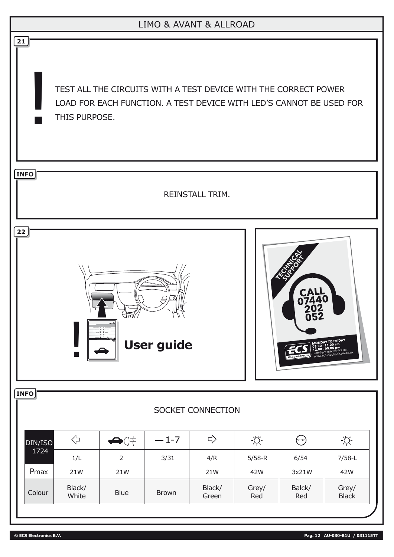